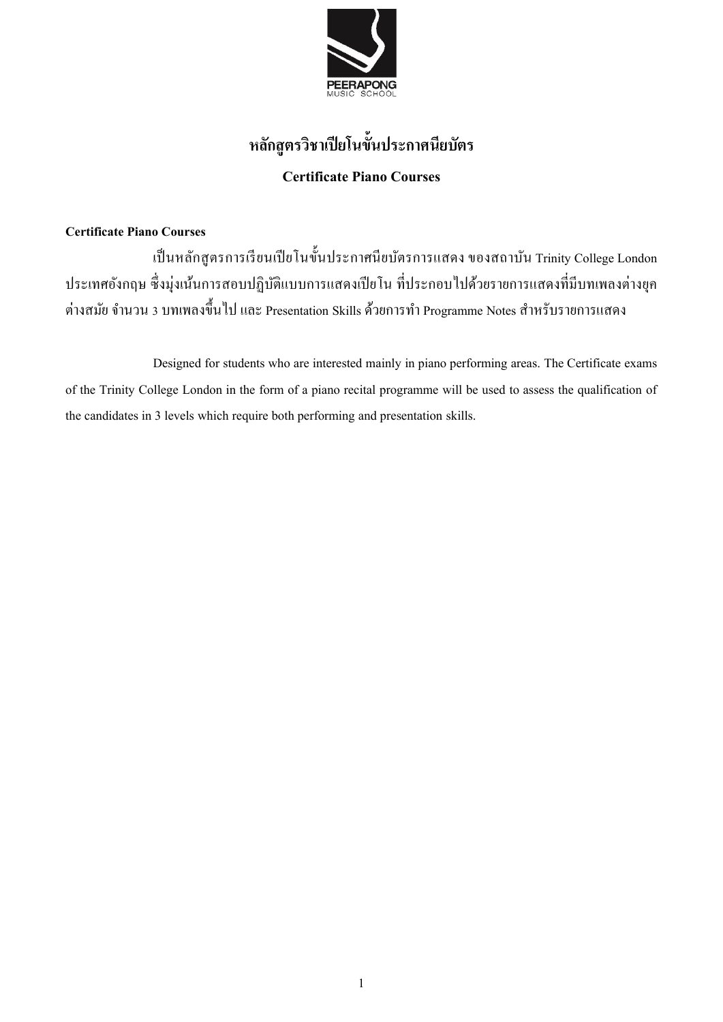

# **หลกัสูตรวิชาเปียโนข้นั ประกาศนียบัตร Certificate Piano Courses**

## **Certificate Piano Courses**

เป็นหลักสูตรการเรียนเปียโนขั้นประกาศนียบัตรการแสดง ของสถาบัน Trinity College London ประเทศอังกฤษ ซึ่งมุ่งเน้นการสอบปฏิบัติแบบการแสดงเปียโน ที่ประกอบไปด้วยรายการแสดงที่มีบทเพลงต่างยุค ต่างสมัย จำนวน 3 บทเพลงขึ้นไป และ Presentation Skills ด้วยการทำ Programme Notes สำหรับรายการแสดง

Designed for students who are interested mainly in piano performing areas. The Certificate exams of the Trinity College London in the form of a piano recital programme will be used to assess the qualification of the candidates in 3 levels which require both performing and presentation skills.